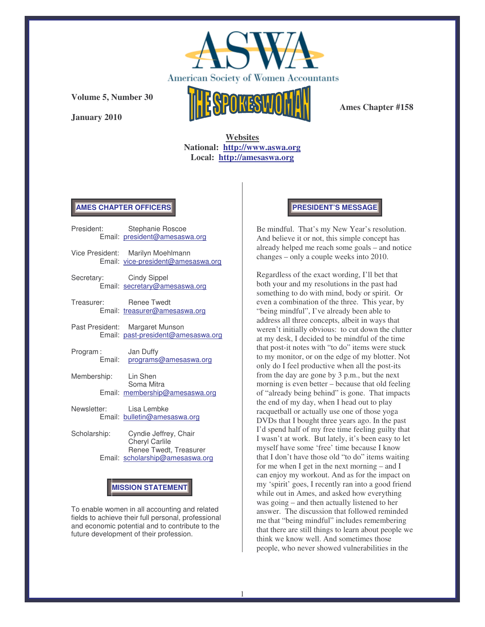

**Volume 5, Number 30**

**January 2010**



**Ames Chapter #158**

**Websites National: http://www.aswa.org Local: http://amesaswa.org**

### **AMES CHAPTER OFFICERS**

|                         | President: Stephanie Roscoe<br>Email: president@amesaswa.org                                                  |  |
|-------------------------|---------------------------------------------------------------------------------------------------------------|--|
|                         | Vice President: Marilyn Moehlmann<br>Email: vice-president@amesaswa.org                                       |  |
| Secretary: Cindy Sippel | Email: secretary@amesaswa.org                                                                                 |  |
| Treasurer: Renee Twedt  | Email: treasurer@amesaswa.org                                                                                 |  |
|                         | Past President: Margaret Munson<br>Email: past-president@amesaswa.org                                         |  |
| Program:                | Jan Duffy<br>Email: programs@amesaswa.org                                                                     |  |
| Membership: Lin Shen    | Soma Mitra<br>Email: membership@amesaswa.org                                                                  |  |
| Newsletter: Lisa Lembke | Email: bulletin@amesaswa.org                                                                                  |  |
|                         | $\Omega$ characteristic contract in $\Omega$ and $\Omega$ and $\Omega$ and $\Omega$ and $\Omega$ and $\Omega$ |  |

Scholarship: Cyndie Jeffrey, Chair Cheryl Carlile Renee Twedt, Treasurer Email: scholarship@amesaswa.org

# **MISSION STATEMENT**

To enable women in all accounting and related fields to achieve their full personal, professional and economic potential and to contribute to the future development of their profession.

#### **PRESIDENT'S MESSAGE**

Be mindful. That's my New Year's resolution. And believe it or not, this simple concept has already helped me reach some goals – and notice changes – only a couple weeks into 2010.

Regardless of the exact wording, I'll bet that both your and my resolutions in the past had something to do with mind, body or spirit. Or even a combination of the three. This year, by "being mindful", I've already been able to address all three concepts, albeit in ways that weren't initially obvious: to cut down the clutter at my desk, I decided to be mindful of the time that post-it notes with "to do" items were stuck to my monitor, or on the edge of my blotter. Not only do I feel productive when all the post-its from the day are gone by 3 p.m., but the next morning is even better – because that old feeling of "already being behind" is gone. That impacts the end of my day, when I head out to play racquetball or actually use one of those yoga DVDs that I bought three years ago. In the past I'd spend half of my free time feeling guilty that I wasn't at work. But lately, it's been easy to let myself have some 'free' time because I know that I don't have those old "to do" items waiting for me when I get in the next morning – and I can enjoy my workout. And as for the impact on my 'spirit' goes, I recently ran into a good friend while out in Ames, and asked how everything was going – and then actually listened to her answer. The discussion that followed reminded me that "being mindful" includes remembering that there are still things to learn about people we think we know well. And sometimes those people, who never showed vulnerabilities in the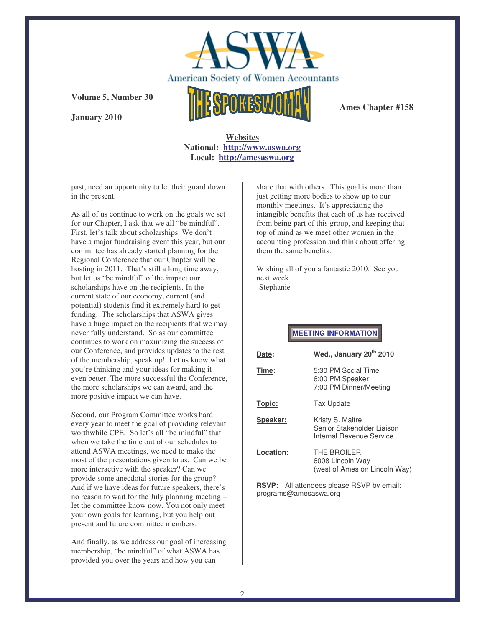

**Ames Chapter #158**

## **Volume 5, Number 30**

**January 2010**

## **Websites National: http://www.aswa.org Local: http://amesaswa.org**

past, need an opportunity to let their guard down in the present.

As all of us continue to work on the goals we set for our Chapter, I ask that we all "be mindful". First, let's talk about scholarships. We don't have a major fundraising event this year, but our committee has already started planning for the Regional Conference that our Chapter will be hosting in 2011. That's still a long time away, but let us "be mindful" of the impact our scholarships have on the recipients. In the current state of our economy, current (and potential) students find it extremely hard to get funding. The scholarships that ASWA gives have a huge impact on the recipients that we may never fully understand. So as our committee continues to work on maximizing the success of our Conference, and provides updates to the rest of the membership, speak up! Let us know what you're thinking and your ideas for making it even better. The more successful the Conference, the more scholarships we can award, and the more positive impact we can have.

Second, our Program Committee works hard every year to meet the goal of providing relevant, worthwhile CPE. So let's all "be mindful" that when we take the time out of our schedules to attend ASWA meetings, we need to make the most of the presentations given to us. Can we be more interactive with the speaker? Can we provide some anecdotal stories for the group? And if we have ideas for future speakers, there's no reason to wait for the July planning meeting – let the committee know now. You not only meet your own goals for learning, but you help out present and future committee members.

And finally, as we address our goal of increasing membership, "be mindful" of what ASWA has provided you over the years and how you can

share that with others. This goal is more than just getting more bodies to show up to our monthly meetings. It's appreciating the intangible benefits that each of us has received from being part of this group, and keeping that top of mind as we meet other women in the accounting profession and think about offering them the same benefits.

Wishing all of you a fantastic 2010. See you next week. -Stephanie

**MEETING INFORMATION**

| Date:     | Wed., January 20 <sup>th</sup> 2010                                        |
|-----------|----------------------------------------------------------------------------|
| Time:     | 5:30 PM Social Time<br>6:00 PM Speaker<br>7:00 PM Dinner/Meeting           |
| Topic:    | <b>Tax Update</b>                                                          |
| Speaker:  | Kristy S. Maitre<br>Senior Stakeholder Liaison<br>Internal Revenue Service |
| Location: | THE BROILER<br>6008 Lincoln Way<br>(west of Ames on Lincoln Way)           |

**RSVP:** All attendees please RSVP by email: programs@amesaswa.org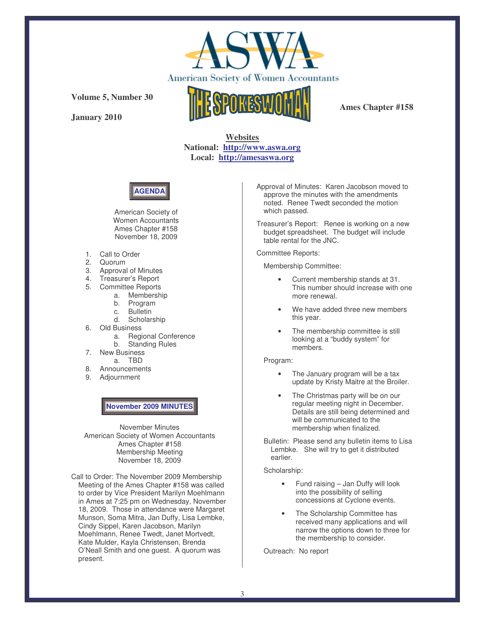

**Volume 5, Number 30**

**January 2010**



**Ames Chapter #158**

**Websites National: http://www.aswa.org Local: http://amesaswa.org**



American Society of Women Accountants Ames Chapter #158 November 18, 2009

- 1. Call to Order
- 2. Quorum
- 3. Approval of Minutes
- 4. Treasurer's Report
- 5. Committee Reports
	- a. Membership
	- b. Program c. Bulletin
	- d. Scholarship
- 6. Old Business
	- a. Regional Conference
		- b. Standing Rules
- 7. New Business
	- a. TBD
- 8. Announcements
- 9. Adjournment

### **November 2009 MINUTES**

November Minutes American Society of Women Accountants Ames Chapter #158 Membership Meeting November 18, 2009

Call to Order: The November 2009 Membership Meeting of the Ames Chapter #158 was called to order by Vice President Marilyn Moehlmann in Ames at 7:25 pm on Wednesday, November 18, 2009. Those in attendance were Margaret Munson, Soma Mitra, Jan Duffy, Lisa Lembke, Cindy Sippel, Karen Jacobson, Marilyn Moehlmann, Renee Twedt, Janet Mortvedt, Kate Mulder, Kayla Christensen, Brenda O'Neall Smith and one guest. A quorum was present.

Approval of Minutes: Karen Jacobson moved to approve the minutes with the amendments noted. Renee Twedt seconded the motion which passed.

Treasurer's Report: Renee is working on a new budget spreadsheet. The budget will include table rental for the JNC.

#### Committee Reports:

Membership Committee:

- Current membership stands at 31. This number should increase with one more renewal.
- We have added three new members this year.
- The membership committee is still looking at a "buddy system" for members.

#### Program:

- The January program will be a tax update by Kristy Maitre at the Broiler.
- The Christmas party will be on our regular meeting night in December. Details are still being determined and will be communicated to the membership when finalized.

Bulletin: Please send any bulletin items to Lisa Lembke. She will try to get it distributed earlier.

Scholarship:

- Fund raising Jan Duffy will look into the possibility of selling concessions at Cyclone events.
- The Scholarship Committee has received many applications and will narrow the options down to three for the membership to consider.

Outreach: No report